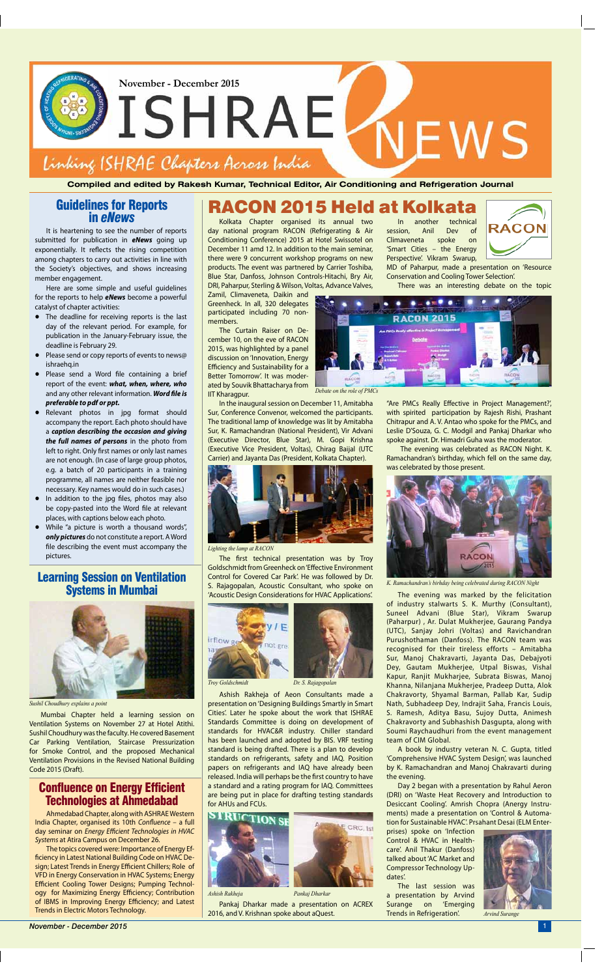In another technical session, Anil Dev of Climaveneta spoke on 'Smart Cities – the Energy Perspective'. Vikram Swarup,

NEWS



MD of Paharpur, made a presentation on 'Resource Conservation and Cooling Tower Selection'.

There was an interesting debate on the topic

"Are PMCs Really Effective in Project Management?', with spirited participation by Rajesh Rishi, Prashant Chitrapur and A. V. Antao who spoke for the PMCs, and Leslie D'Souza, G. C. Modgil and Pankaj Dharkar who spoke against. Dr. Himadri Guha was the moderator.

 The evening was celebrated as RACON Night. K. Ramachandran's birthday, which fell on the same day, was celebrated by those present.



The evening was marked by the felicitation of industry stalwarts S. K. Murthy (Consultant), Suneel Advani (Blue Star), Vikram Swarup (Paharpur) , Ar. Dulat Mukherjee, Gaurang Pandya (UTC), Sanjay Johri (Voltas) and Ravichandran Purushothaman (Danfoss). The RACON team was recognised for their tireless efforts – Amitabha Sur, Manoj Chakravarti, Jayanta Das, Debajyoti Dey, Gautam Mukherjee, Utpal Biswas, Vishal Kapur, Ranjit Mukharjee, Subrata Biswas, Manoj Khanna, Nilanjana Mukherjee, Pradeep Dutta, Alok Chakravorty, Shyamal Barman, Pallab Kar, Sudip Nath, Subhadeep Dey, Indrajit Saha, Francis Louis, S. Ramesh, Aditya Basu, Sujoy Dutta, Animesh

Chakravorty and Subhashish Dasgupta, along with Soumi Raychaudhuri from the event management team of CIM Global.

A book by industry veteran N. C. Gupta, titled 'Comprehensive HVAC System Design', was launched by K. Ramachandran and Manoj Chakravarti during the evening.

Day 2 began with a presentation by Rahul Aeron (DRI) on 'Waste Heat Recovery and Introduction to Desiccant Cooling'. Amrish Chopra (Anergy Instruments) made a presentation on 'Control & Automation for Sustainable HVAC'. Prsahant Desai (ELM Enter-

prises) spoke on 'Infection Control & HVAC in Healthcare'. Anil Thakur (Danfoss) talked about 'AC Market and Compressor Technology Updates'.

The last session was a presentation by Arvind Surange on 'Emerging Trends in Refrigeration'.



## RACON 2015 Held at Kolkata

Kolkata Chapter organised its annual two day national program RACON (Refrigerating & Air Conditioning Conference) 2015 at Hotel Swissotel on December 11 amd 12. In addition to the main seminar, there were 9 concurrent workshop programs on new products. The event was partnered by Carrier Toshiba, Blue Star, Danfoss, Johnson Controls-Hitachi, Bry Air, DRI, Paharpur, Sterling & Wilson, Voltas, Advance Valves,

Zamil, Climaveneta, Daikin and Greenheck. In all, 320 delegates participated including 70 nonmembers.

The Curtain Raiser on December 10, on the eve of RACON 2015, was highlighted by a panel discussion on 'Innovation, Energy Efficiency and Sustainability for a Better Tomorrow'. It was moderated by Souvik Bhattacharya from IIT Kharagpur.

In the inaugural session on December 11, Amitabha Sur, Conference Convenor, welcomed the participants. The traditional lamp of knowledge was lit by Amitabha Sur, K. Ramachandran (National President), Vir Advani (Executive Director, Blue Star), M. Gopi Krishna (Executive Vice President, Voltas), Chirag Baijal (UTC Carrier) and Jayanta Das (President, Kolkata Chapter).



The first technical presentation was by Troy Goldschmidt from Greenheck on 'Effective Environment Control for Covered Car Park'. He was followed by Dr. S. Rajagopalan, Acoustic Consultant, who spoke on 'Acoustic Design Considerations for HVAC Applications'.



Ashish Rakheja of Aeon Consultants made a presentation on 'Designing Buildings Smartly in Smart Cities'. Later he spoke about the work that ISHRAE

Standards Committee is doing on development of standards for HVAC&R industry. Chiller standard has been launched and adopted by BIS. VRF testing standard is being drafted. There is a plan to develop standards on refrigerants, safety and IAQ. Position papers on refrigerants and IAQ have already been released. India will perhaps be the first country to have a standard and a rating program for IAQ. Committees are being put in place for drafting testing standards for AHUs and FCUs.



*Lighting the lamp at RACON*

Pankaj Dharkar made a presentation on ACREX 2016, and V. Krishnan spoke about aQuest. *Ashish Rakheja Pankaj Dharkar*



*Debate on the role of PMCs*

*K. Ramachandran's birhday being celebrated during RACON Night*

*Troy Goldschmidt Dr. S. Rajagopalan*



*Arvind Surange*

**November - December 2015** 

**Compiled and edited by Rakesh Kumar, Technical Editor, Air Conditioning and Refrigeration Journal**



**November - December 2015**

# ISHRAE Linking ISHRAE Chapters Across India

## Guidelines for Reports in *eNews*

It is heartening to see the number of reports submitted for publication in *eNews* going up exponentially. It reflects the rising competition among chapters to carry out activities in line with the Society's objectives, and shows increasing member engagement.

Here are some simple and useful guidelines for the reports to help *eNews* become a powerful catalyst of chapter activities:

- **•** The deadline for receiving reports is the last day of the relevant period. For example, for publication in the January-February issue, the deadline is February 29.
- **•** Please send or copy reports of events to news@ ishraehq.in
- **•** Please send a Word file containing a brief report of the event: *what, when, where, who* and any other relevant information. *Word file is preferable to pdf or ppt.*
- **•** Relevant photos in jpg format should accompany the report. Each photo should have a *caption describing the occasion and giving the full names of persons* in the photo from left to right. Only first names or only last names are not enough. (In case of large group photos, e.g. a batch of 20 participants in a training programme, all names are neither feasible nor necessary. Key names would do in such cases.)
- **•** In addition to the jpg files, photos may also be copy-pasted into the Word file at relevant places, with captions below each photo.
- **•** While "a picture is worth a thousand words", *only pictures* do not constitute a report. A Word file describing the event must accompany the pictures.

## Confluence on Energy Efficient Technologies at Ahmedabad

Ahmedabad Chapter, along with ASHRAE Western India Chapter, organised its 10th *Confluence* – a full day seminar on *Energy Efficient Technologies in HVAC Systems* at Atira Campus on December 26.

The topics covered were: Importance of Energy Efficiency in Latest National Building Code on HVAC Design; Latest Trends in Energy Efficient Chillers; Role of VFD in Energy Conservation in HVAC Systems; Energy Efficient Cooling Tower Designs; Pumping Technology for Maximizing Energy Efficiency; Contribution of IBMS in Improving Energy Efficiency; and Latest Trends in Electric Motors Technology.



*Sushil Choudhury explains a point*

## Learning Session on Ventilation Systems in Mumbai

Mumbai Chapter held a learning session on

Ventilation Systems on November 27 at Hotel Atithi. Sushil Choudhury was the faculty. He covered Basement Car Parking Ventilation, Staircase Pressurization for Smoke Control, and the proposed Mechanical Ventilation Provisions in the Revised National Building Code 2015 (Draft).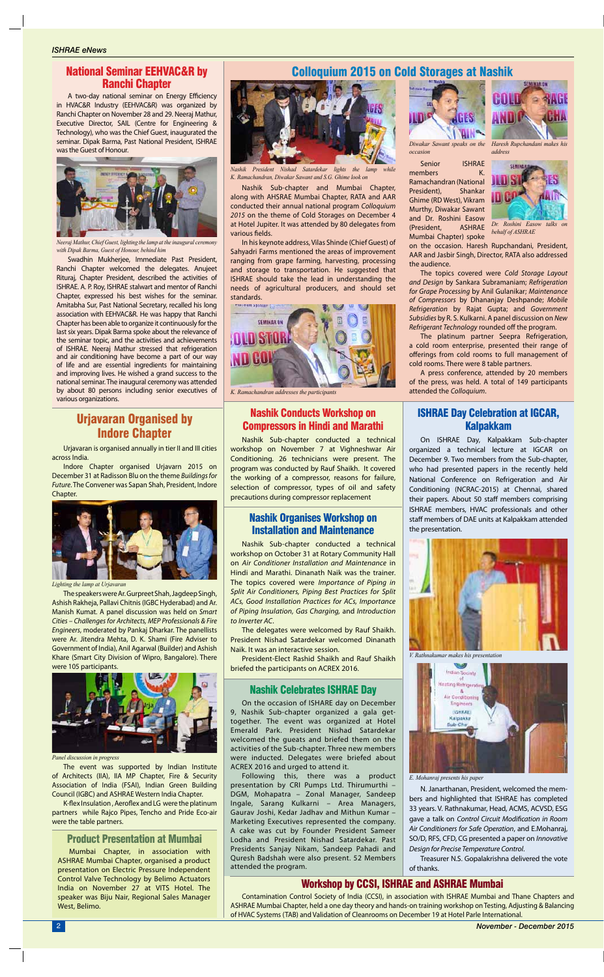On ISHRAE Day, Kalpakkam Sub-chapter organized a technical lecture at IGCAR on December 9. Two members from the Sub-chapter, who had presented papers in the recently held National Conference on Refrigeration and Air Conditioning (NCRAC-2015) at Chennai, shared their papers. About 50 staff members comprising ISHRAE members, HVAC professionals and other staff members of DAE units at Kalpakkam attended the presentation.

N. Janarthanan, President, welcomed the members and highlighted that ISHRAE has completed 33 years. V. Rathnakumar, Head, ACMS, ACVSD, ESG gave a talk on *Control Circuit Modification in Room Air Conditioners for Safe Operation*, and E.Mohanraj, SO/D, RFS, CFD, CG presented a paper on *Innovative Design for Precise Temperature Control*.

Treasurer N.S. Gopalakrishna delivered the vote of thanks.



*K. Ramachandran addresses the participants*

Senior ISHRAE members K. Ramachandran (National President), Shankar Ghime (RD West), Vikram Murthy, Diwakar Sawant and Dr. Roshini Easow (President, ASHRAE Mumbai Chapter) spoke

on the occasion. Haresh Rupchandani, President, AAR and Jasbir Singh, Director, RATA also addressed the audience.

The topics covered were *Cold Storage Layout and Design* by Sankara Subramaniam; *Refrigeration for Grape Processing* by Anil Gulanikar; *Maintenance of Compressors* by Dhananjay Deshpande; *Mobile Refrigeration* by Rajat Gupta; and *Government Subsidies* by R. S. Kulkarni. A panel discussion on *New Refrigerant Technology* rounded off the program.

The platinum partner Seepra Refrigeration, a cold room enterprise, presented their range of offerings from cold rooms to full management of cold rooms. There were 8 table partners.

A press conference, attended by 20 members of the press, was held. A total of 149 participants attended the *Colloquium*.



*Diwakar Sawant speaks on the occasion*



*Haresh Rupchandani makes his address*



*Dr. Roshini Easow talks on behalf of ASHRAE*

## Colloquium 2015 on Cold Storages at Nashik

Urjavaran is organised annually in tier II and III cities across India.

Indore Chapter organised Urjavarn 2015 on December 31 at Radisson Blu on the theme *Buildings for Future*. The Convener was Sapan Shah, President, Indore Chapter.



The speakers were Ar. Gurpreet Shah, Jagdeep Singh, Ashish Rakheja, Pallavi Chitnis (IGBC Hyderabad) and Ar. Manish Kumat. A panel discussion was held on *Smart Cities – Challenges for Architects, MEP Professionals & Fire Engineers*, moderated by Pankaj Dharkar. The panellists were Ar. Jitendra Mehta, D. K. Shami (Fire Adviser to Government of India), Anil Agarwal (Builder) and Ashish Khare (Smart City Division of Wipro, Bangalore). There were 105 participants.





*Nashik President Nishad Satardekar lights the lamp K. Ramachandran, Diwakar Sawant and S.G. Ghime look on*

The event was supported by Indian Institute of Architects (IIA), IIA MP Chapter, Fire & Security Association of India (FSAI), Indian Green Building Council (IGBC) and ASHRAE Western India Chapter.

K-flex Insulation , Aeroflex and LG were the platinum partners while Rajco Pipes, Tencho and Pride Eco-air were the table partners.

*Lighting the lamp at Urjavaran*

*Panel discussion in progress*



*V. Rathnakumar makes his presentation*



*E. Mohanraj presents his paper* 

## Urjavaran Organised by Indore Chapter

Nashik Sub-chapter and Mumbai Chapter, along with AHSRAE Mumbai Chapter, RATA and AAR conducted their annual national program *Colloquium 2015* on the theme of Cold Storages on December 4 at Hotel Jupiter. It was attended by 80 delegates from various fields.

In his keynote address, Vilas Shinde (Chief Guest) of Sahyadri Farms mentioned the areas of improvement ranging from grape farming, harvesting, processing and storage to transportation. He suggested that ISHRAE should take the lead in understanding the needs of agricultural producers, and should set standards.

## National Seminar EEHVAC&R by Ranchi Chapter

A two-day national seminar on Energy Efficiency in HVAC&R Industry (EEHVAC&R) was organized by Ranchi Chapter on November 28 and 29. Neeraj Mathur, Executive Director, SAIL (Centre for Engineering & Technology), who was the Chief Guest, inaugurated the seminar. Dipak Barma, Past National President, ISHRAE was the Guest of Honour.

Swadhin Mukherjee, Immediate Past President, Ranchi Chapter welcomed the delegates. Anujeet Rituraj, Chapter President, described the activities of ISHRAE. A. P. Roy, ISHRAE stalwart and mentor of Ranchi Chapter, expressed his best wishes for the seminar. Amitabha Sur, Past National Secretary, recalled his long association with EEHVAC&R. He was happy that Ranchi Chapter has been able to organize it continuously for the last six years. Dipak Barma spoke about the relevance of the seminar topic, and the activities and achievements of ISHRAE. Neeraj Mathur stressed that refrigeration and air conditioning have become a part of our way of life and are essential ingredients for maintaining and improving lives. He wished a grand success to the national seminar. The inaugural ceremony was attended by about 80 persons including senior executives of various organizations.



*Neeraj Mathur, Chief Guest, lighting the lamp at the inaugural ceremony with Dipak Barma, Guest of Honour, behind him*

## Product Presentation at Mumbai

## Nashik Conducts Workshop on Compressors in Hindi and Marathi

## ISHRAE Day Celebration at IGCAR, Kalpakkam

## Nashik Organises Workshop on Installation and Maintenance

## Nashik Celebrates ISHRAE Day

Mumbai Chapter, in association with ASHRAE Mumbai Chapter, organised a product presentation on Electric Pressure Independent Control Valve Technology by Belimo Actuators India on November 27 at VITS Hotel. The speaker was Biju Nair, Regional Sales Manager West, Belimo.

Nashik Sub-chapter conducted a technical workshop on November 7 at Vighneshwar Air Conditioning. 26 technicians were present. The program was conducted by Rauf Shaikh. It covered the working of a compressor, reasons for failure, selection of compressor, types of oil and safety precautions during compressor replacement

Nashik Sub-chapter conducted a technical workshop on October 31 at Rotary Community Hall on *Air Conditioner Installation and Maintenance* in Hindi and Marathi. Dinanath Naik was the trainer. The topics covered were *Importance of Piping in Split Air Conditioners, Piping Best Practices for Split ACs, Good Installation Practices for ACs, Importance of Piping Insulation, Gas Charging,* and *Introduction to Inverter AC*.

The delegates were welcomed by Rauf Shaikh. President Nishad Satardekar welcomed Dinanath Naik. It was an interactive session.

President-Elect Rashid Shaikh and Rauf Shaikh briefed the participants on ACREX 2016.

On the occasion of ISHARE day on December 9, Nashik Sub-chapter organized a gala get-

together. The event was organized at Hotel Emerald Park. President Nishad Satardekar welcomed the gueats and briefed them on the activities of the Sub-chapter. Three new members were inducted. Delegates were briefed about ACREX 2016 and urged to attend it.

Following this, there was a product presentation by CRI Pumps Ltd. Thirumurthi – DGM, Mohapatra – Zonal Manager, Sandeep Ingale, Sarang Kulkarni – Area Managers, Gaurav Joshi, Kedar Jadhav and Mithun Kumar – Marketing Executives represented the company. A cake was cut by Founder President Sameer Lodha and President Nishad Satardekar. Past Presidents Sanjay Nikam, Sandeep Pahadi and Quresh Badshah were also present. 52 Members attended the program.

## Workshop by CCSI, ISHRAE and ASHRAE Mumbai

Contamination Control Society of India (CCSI), in association with ISHRAE Mumbai and Thane Chapters and ASHRAE Mumbai Chapter, held a one day theory and hands-on training workshop on Testing, Adjusting & Balancing of HVAC Systems (TAB) and Validation of Cleanrooms on December 19 at Hotel Parle International.

2 *November - December 2015*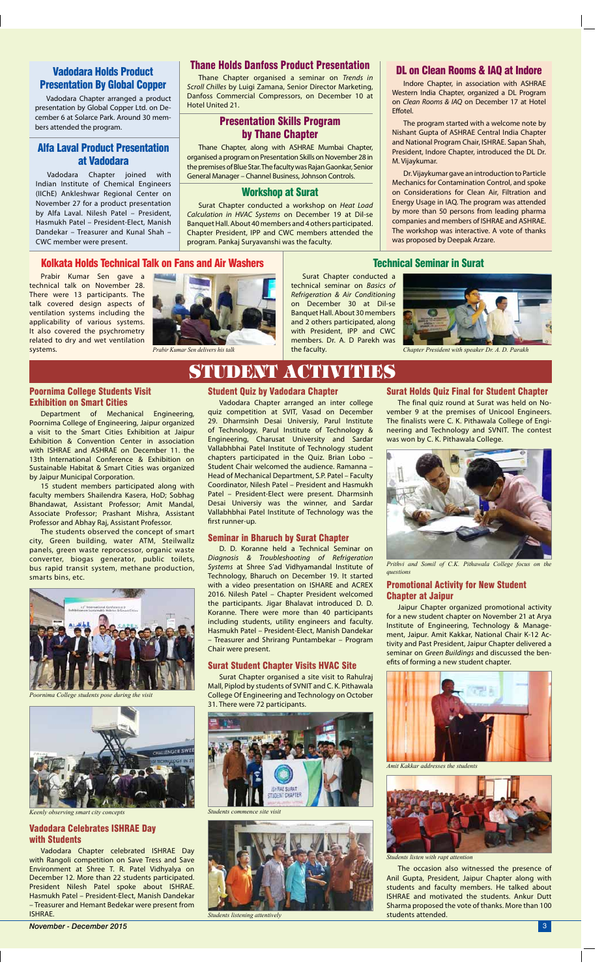

*Prabir Kumar Sen delivers his talk Chapter President with speaker Dr. A. D. Parakh*

## Presentation By Global Copper

Vadodara Chapter arranged a product presentation by Global Copper Ltd. on December 6 at Solarce Park. Around 30 members attended the program.

## Alfa Laval Product Presentation at Vadodara

Vadodara Chapter joined with Indian Institute of Chemical Engineers (IIChE) Ankleshwar Regional Center on November 27 for a product presentation by Alfa Laval. Nilesh Patel – President, Hasmukh Patel – President-Elect, Manish Dandekar – Treasurer and Kunal Shah – CWC member were present.

Prabir Kumar Sen gave a technical talk on November 28. There were 13 participants. The talk covered design aspects of ventilation systems including the applicability of various systems. It also covered the psychrometry related to dry and wet ventilation systems.



Surat Chapter conducted a

### technical seminar on *Basics of Refrigeration & Air Conditioning*

on December 30 at Dil-se Banquet Hall. About 30 members and 2 others participated, along with President, IPP and CWC members. Dr. A. D Parekh was

the faculty.

Indore Chapter, in association with ASHRAE Western India Chapter, organized a DL Program on *Clean Rooms & IAQ* on December 17 at Hotel Effotel.

The program started with a welcome note by Nishant Gupta of ASHRAE Central India Chapter and National Program Chair, ISHRAE. Sapan Shah, President, Indore Chapter, introduced the DL Dr. M. Vijaykumar.

Dr. Vijaykumar gave an introduction to Particle Mechanics for Contamination Control, and spoke on Considerations for Clean Air, Filtration and Energy Usage in IAQ. The program was attended by more than 50 persons from leading pharma companies and members of ISHRAE and ASHRAE. The workshop was interactive. A vote of thanks was proposed by Deepak Arzare.

## Kolkata Holds Technical Talk on Fans and Air Washers Technical Seminar in Surat

### Poornima College Students Visit Exhibition on Smart Cities

Department of Mechanical Engineering, Poornima College of Engineering, Jaipur organized a visit to the Smart Cities Exhibition at Jaipur Exhibition & Convention Center in association with ISHRAE and ASHRAE on December 11. the 13th International Conference & Exhibition on Sustainable Habitat & Smart Cities was organized by Jaipur Municipal Corporation.

15 student members participated along with faculty members Shailendra Kasera, HoD; Sobhag Bhandawat, Assistant Professor; Amit Mandal, Associate Professor; Prashant Mishra, Assistant Professor and Abhay Raj, Assistant Professor.

The students observed the concept of smart city, Green building, water ATM, Steilwallz panels, green waste reprocessor, organic waste converter, biogas generator, public toilets, bus rapid transit system, methane production, smarts bins, etc.

## Thane Holds Danfoss Product Presentation

Thane Chapter organised a seminar on *Trends in Scroll Chilles* by Luigi Zamana, Senior Director Marketing, Danfoss Commercial Compressors, on December 10 at Hotel United 21.

## Presentation Skills Program by Thane Chapter

Thane Chapter, along with ASHRAE Mumbai Chapter, organised a program on Presentation Skills on November 28 in the premises of Blue Star. The faculty was Rajan Gaonkar, Senior General Manager – Channel Business, Johnson Controls.

## Workshop at Surat

Surat Chapter conducted a workshop on *Heat Load Calculation in HVAC Systems* on December 19 at Dil-se Banquet Hall. About 40 members and 4 others participated. Chapter President, IPP and CWC members attended the program. Pankaj Suryavanshi was the faculty.

## Vadodara Holds Product **Digit Clean Rooms & IAQ at Indore** Values of Turners of Turners and Turners and Turners a

## Student Activities

### Student Quiz by Vadodara Chapter

Vadodara Chapter arranged an inter college quiz competition at SVIT, Vasad on December 29. Dharmsinh Desai Universiy, Parul Institute of Technology, Parul Institute of Technology & Engineering, Charusat University and Sardar Vallabhbhai Patel Institute of Technology student chapters participated in the Quiz. Brian Lobo – Student Chair welcomed the audience. Ramanna – Head of Mechanical Department, S.P. Patel – Faculty Coordinator, Nilesh Patel – President and Hasmukh Patel – President-Elect were present. Dharmsinh Desai Universiy was the winner, and Sardar Vallabhbhai Patel Institute of Technology was the first runner-up.

## Seminar in Bharuch by Surat Chapter

D. D. Koranne held a Technical Seminar on *Diagnosis & Troubleshooting of Refrigeration Systems* at Shree S'ad Vidhyamandal Institute of Technology, Bharuch on December 19. It started with a video presentation on ISHARE and ACREX 2016. Nilesh Patel – Chapter President welcomed the participants. Jigar Bhalavat introduced D. D. Koranne. There were more than 40 participants including students, utility engineers and faculty. Hasmukh Patel – President-Elect, Manish Dandekar – Treasurer and Shrirang Puntambekar – Program Chair were present.

### Surat Student Chapter Visits HVAC Site

Surat Chapter organised a site visit to Rahulraj Mall, Piplod by students of SVNIT and C. K. Pithawala College Of Engineering and Technology on October 31. There were 72 participants.



### Surat Holds Quiz Final for Student Chapter

The final quiz round at Surat was held on November 9 at the premises of Unicool Engineers. The finalists were C. K. Pithawala College of Engineering and Technology and SVNIT. The contest was won by C. K. Pithawala College.

## Promotional Activity for New Student Chapter at Jaipur

Jaipur Chapter organized promotional activity for a new student chapter on November 21 at Arya Institute of Engineering, Technology & Management, Jaipur. Amit Kakkar, National Chair K-12 Activity and Past President, Jaipur Chapter delivered a seminar on *Green Buildings* and discussed the benefits of forming a new student chapter.



The occasion also witnessed the presence of Anil Gupta, President, Jaipur Chapter along with students and faculty members. He talked about ISHRAE and motivated the students. Ankur Dutt Sharma proposed the vote of thanks. More than 100 students attended.



*Poornima College students pose during the visit*



*Keenly observing smart city concepts Students commence site visit*



*Students listening attentively*



*Prithvi and Somil of C.K. Pithawala College focus on the questions*

*Amit Kakkar addresses the students*



*Students listen with rapt attention*

## Vadodara Celebrates ISHRAE Day with Students

Vadodara Chapter celebrated ISHRAE Day with Rangoli competition on Save Tress and Save Environment at Shree T. R. Patel Vidhyalya on December 12. More than 22 students participated. President Nilesh Patel spoke about ISHRAE. Hasmukh Patel – President-Elect, Manish Dandekar – Treasurer and Hemant Bedekar were present from ISHRAE.

*November - December 2015* 3